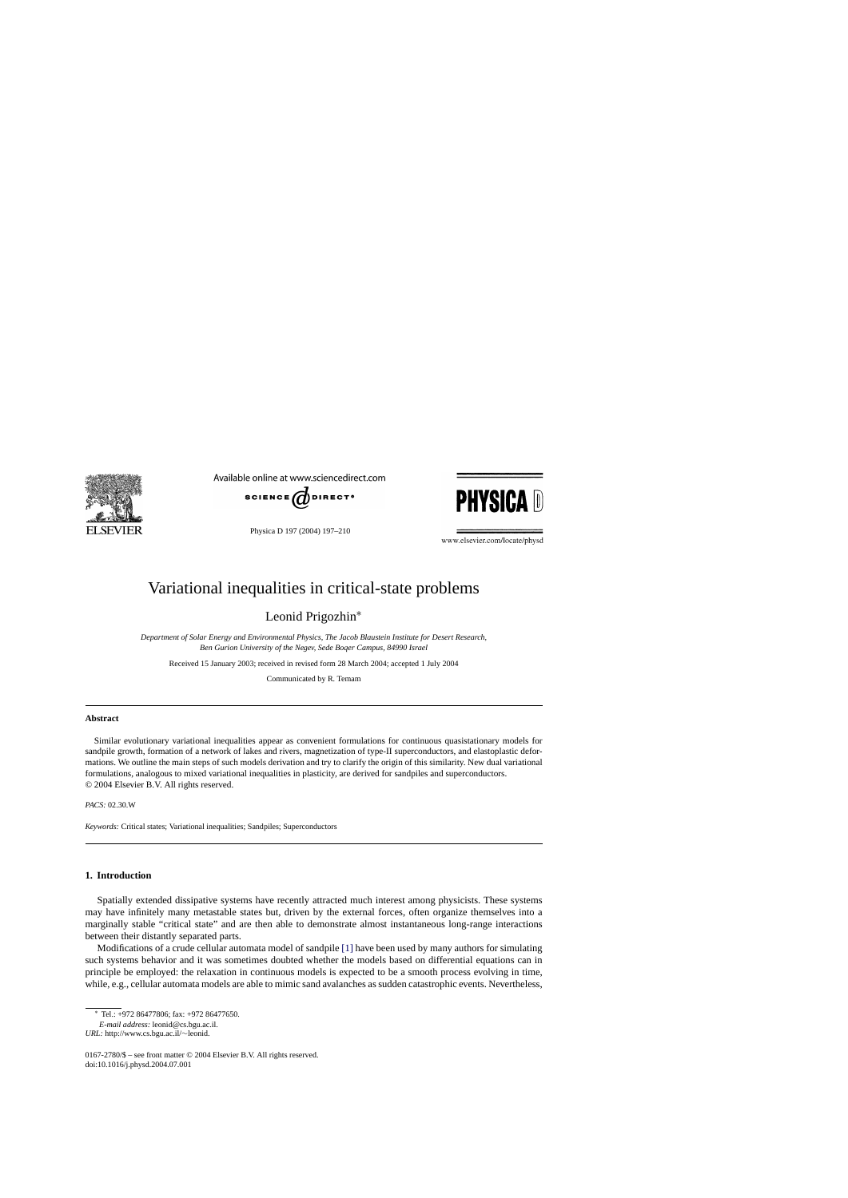

Available online at www.sciencedirect.com



Physica D 197 (2004) 197–210



www.elsevier.com/locate/physd

# Variational inequalities in critical-state problems

Leonid Prigozhin<sup>∗</sup>

*Department of Solar Energy and Environmental Physics, The Jacob Blaustein Institute for Desert Research, Ben Gurion University of the Negev, Sede Boqer Campus, 84990 Israel*

Received 15 January 2003; received in revised form 28 March 2004; accepted 1 July 2004

Communicated by R. Temam

## **Abstract**

Similar evolutionary variational inequalities appear as convenient formulations for continuous quasistationary models for sandpile growth, formation of a network of lakes and rivers, magnetization of type-II superconductors, and elastoplastic deformations. We outline the main steps of such models derivation and try to clarify the origin of this similarity. New dual variational formulations, analogous to mixed variational inequalities in plasticity, are derived for sandpiles and superconductors. © 2004 Elsevier B.V. All rights reserved.

*PACS:* 02.30.W

*Keywords:* Critical states; Variational inequalities; Sandpiles; Superconductors

## **1. Introduction**

Spatially extended dissipative systems have recently attracted much interest among physicists. These systems may have infinitely many metastable states but, driven by the external forces, often organize themselves into a marginally stable "critical state" and are then able to demonstrate almost instantaneous long-range interactions between their distantly separated parts.

Modifications of a crude cellular automata model of sandpile [\[1\]](#page-12-0) have been used by many authors for simulating such systems behavior and it was sometimes doubted whether the models based on differential equations can in principle be employed: the relaxation in continuous models is expected to be a smooth process evolving in time, while, e.g., cellular automata models are able to mimic sand avalanches as sudden catastrophic events. Nevertheless,

<sup>∗</sup> Tel.: +972 86477806; fax: +972 86477650.

*E-mail address:* leonid@cs.bgu.ac.il.

*URL:* http://www.cs.bgu.ac.il/∼leonid.

<sup>0167-2780/\$ –</sup> see front matter © 2004 Elsevier B.V. All rights reserved. doi:10.1016/j.physd.2004.07.001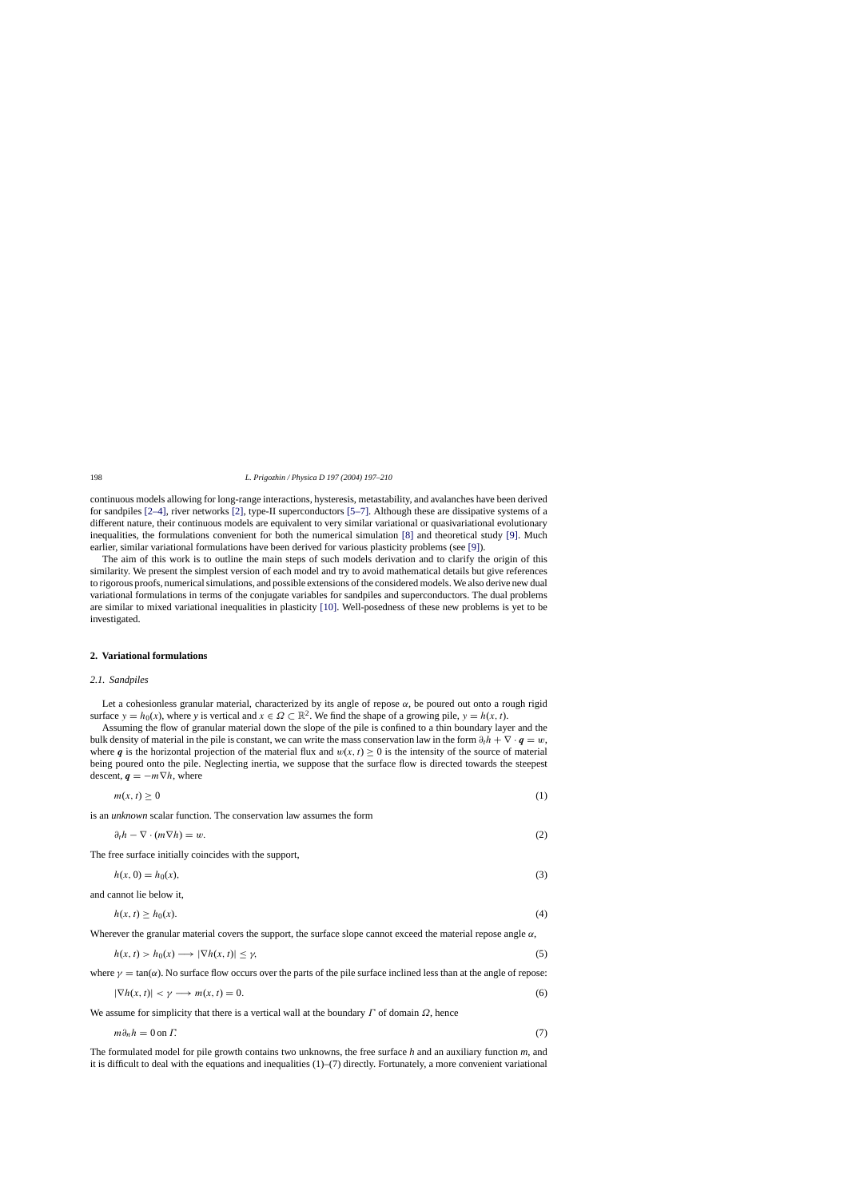<span id="page-1-0"></span>continuous models allowing for long-range interactions, hysteresis, metastability, and avalanches have been derived for sandpiles [\[2–4\],](#page-12-0) river networks [\[2\], t](#page-12-0)ype-II superconductors [\[5–7\].](#page-12-0) Although these are dissipative systems of a different nature, their continuous models are equivalent to very similar variational or quasivariational evolutionary inequalities, the formulations convenient for both the numerical simulation [\[8\]](#page-12-0) and theoretical study [\[9\].](#page-12-0) Much earlier, similar variational formulations have been derived for various plasticity problems (see [\[9\]\).](#page-12-0)

The aim of this work is to outline the main steps of such models derivation and to clarify the origin of this similarity. We present the simplest version of each model and try to avoid mathematical details but give references to rigorous proofs, numerical simulations, and possible extensions of the considered models. We also derive new dual variational formulations in terms of the conjugate variables for sandpiles and superconductors. The dual problems are similar to mixed variational inequalities in plasticity [\[10\].](#page-12-0) Well-posedness of these new problems is yet to be investigated.

#### **2. Variational formulations**

#### *2.1. Sandpiles*

Let a cohesionless granular material, characterized by its angle of repose  $\alpha$ , be poured out onto a rough rigid surface  $y = h_0(x)$ , where y is vertical and  $x \in \Omega \subset \mathbb{R}^2$ . We find the shape of a growing pile,  $y = h(x, t)$ .

Assuming the flow of granular material down the slope of the pile is confined to a thin boundary layer and the bulk density of material in the pile is constant, we can write the mass conservation law in the form  $\partial_t h + \nabla \cdot \mathbf{q} = w$ , where *q* is the horizontal projection of the material flux and  $w(x, t) > 0$  is the intensity of the source of material being poured onto the pile. Neglecting inertia, we suppose that the surface flow is directed towards the steepest descent,  $q = -m\nabla h$ , where

$$
m(x,t) \ge 0 \tag{1}
$$

is an *unknown* scalar function. The conservation law assumes the form

$$
\partial_t h - \nabla \cdot (m \nabla h) = w. \tag{2}
$$

The free surface initially coincides with the support,

$$
h(x, 0) = h_0(x),\tag{3}
$$

and cannot lie below it,

$$
h(x,t) \ge h_0(x). \tag{4}
$$

Wherever the granular material covers the support, the surface slope cannot exceed the material repose angle  $\alpha$ ,

$$
h(x, t) > h_0(x) \longrightarrow |\nabla h(x, t)| \le \gamma,
$$
\n(5)

where  $\gamma = \tan(\alpha)$ . No surface flow occurs over the parts of the pile surface inclined less than at the angle of repose:

$$
|\nabla h(x,t)| < \gamma \longrightarrow m(x,t) = 0. \tag{6}
$$

We assume for simplicity that there is a vertical wall at the boundary  $\Gamma$  of domain  $\Omega$ , hence

$$
m\partial_n h = 0 \text{ on } \Gamma. \tag{7}
$$

The formulated model for pile growth contains two unknowns, the free surface *h* and an auxiliary function *m*, and it is difficult to deal with the equations and inequalities  $(1)$ – $(7)$  directly. Fortunately, a more convenient variational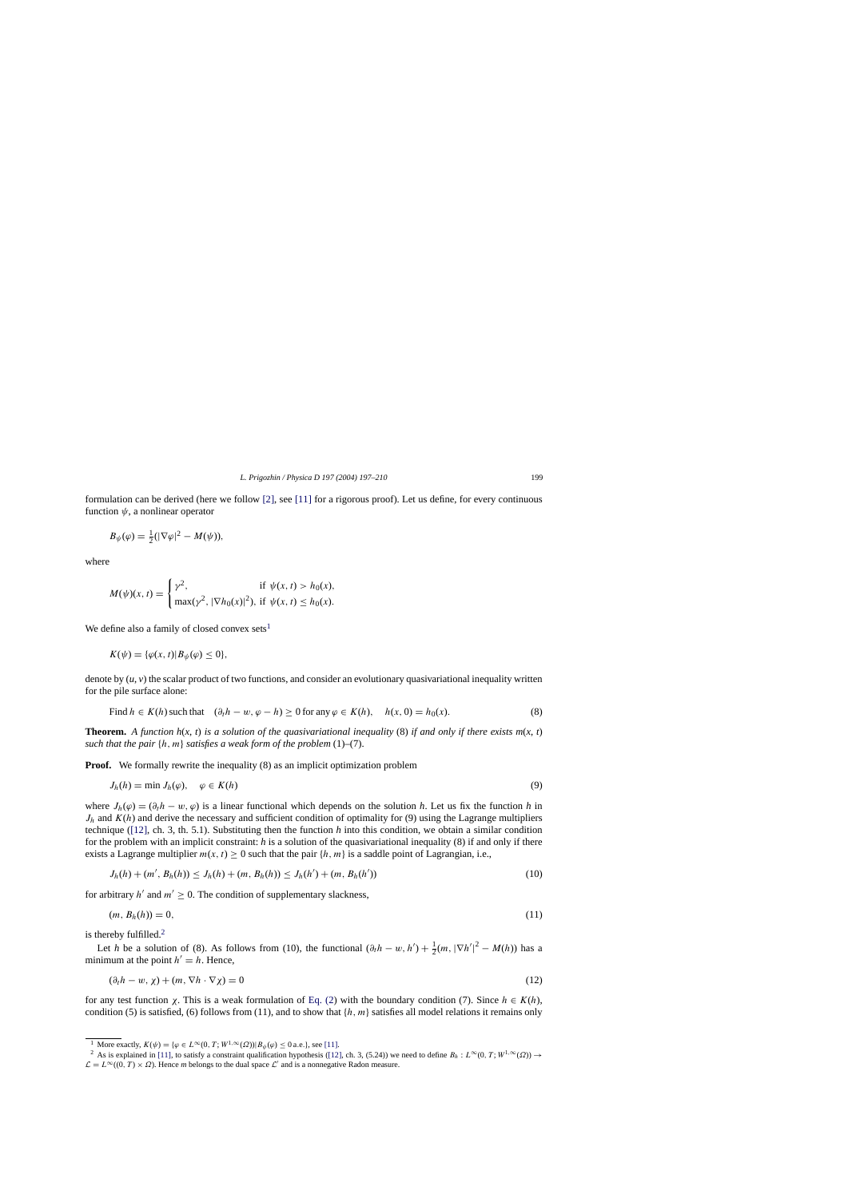formulation can be derived (here we follow [\[2\],](#page-12-0) see [\[11\]](#page-12-0) for a rigorous proof). Let us define, for every continuous function  $\psi$ , a nonlinear operator

$$
B_{\psi}(\varphi) = \frac{1}{2}(|\nabla \varphi|^2 - M(\psi)),
$$

where

$$
M(\psi)(x, t) = \begin{cases} \gamma^2, & \text{if } \psi(x, t) > h_0(x), \\ \max(\gamma^2, |\nabla h_0(x)|^2), & \text{if } \psi(x, t) \le h_0(x). \end{cases}
$$

We define also a family of closed convex sets<sup>1</sup>

$$
K(\psi) = {\varphi(x, t) | B_{\psi}(\varphi) \le 0},
$$

denote by (*u*, *v*) the scalar product of two functions, and consider an evolutionary quasivariational inequality written for the pile surface alone:

Find 
$$
h \in K(h)
$$
 such that  $(\partial_t h - w, \varphi - h) \ge 0$  for any  $\varphi \in K(h)$ ,  $h(x, 0) = h_0(x)$ . (8)

**Theorem.** A function  $h(x, t)$  is a solution of the quasivariational inequality (8) if and only if there exists  $m(x, t)$ *such that the pair* {h, m} *satisfies a weak form of the problem* (1)–(7).

**Proof.** We formally rewrite the inequality (8) as an implicit optimization problem

$$
J_h(h) = \min J_h(\varphi), \quad \varphi \in K(h) \tag{9}
$$

where  $J_h(\varphi) = (\partial_t h - w, \varphi)$  is a linear functional which depends on the solution *h*. Let us fix the function *h* in  $J_h$  and  $K(h)$  and derive the necessary and sufficient condition of optimality for (9) using the Lagrange multipliers technique ([\[12\],](#page-12-0) ch. 3, th. 5.1). Substituting then the function *h* into this condition, we obtain a similar condition for the problem with an implicit constraint: *h* is a solution of the quasivariational inequality (8) if and only if there exists a Lagrange multiplier  $m(x, t) \ge 0$  such that the pair  $\{h, m\}$  is a saddle point of Lagrangian, i.e.,

$$
J_h(h) + (m', B_h(h)) \le J_h(h) + (m, B_h(h)) \le J_h(h') + (m, B_h(h')) \tag{10}
$$

for arbitrary h' and  $m' > 0$ . The condition of supplementary slackness,

$$
(m, B_h(h)) = 0,\tag{11}
$$

is thereby fulfilled. $<sup>2</sup>$ </sup>

Let *h* be a solution of (8). As follows from (10), the functional  $(\partial_t h - w, h') + \frac{1}{2}(m, |\nabla h'|^2 - M(h))$  has a minimum at the point  $h' = h$ . Hence,

$$
(\partial_t h - w, \chi) + (m, \nabla h \cdot \nabla \chi) = 0 \tag{12}
$$

for any test function  $\chi$ . This is a weak formulation of [Eq. \(2\)](#page-1-0) with the boundary condition (7). Since  $h \in K(h)$ , condition (5) is satisfied, (6) follows from (11), and to show that  $\{h, m\}$  satisfies all model relations it remains only

<sup>&</sup>lt;sup>1</sup> More exactly,  $K(\psi) = {\varphi \in L^{\infty}(0, T; W^{1, \infty}(\Omega)) | B_{\psi}(\varphi) \le 0 \text{ a.e.}}$ , see [\[11\].](#page-12-0)<br><sup>2</sup> As is explained in [\[11\], t](#page-12-0)o satisfy a constraint qualification hypothesis [\(\[12\], c](#page-12-0)h. 3, (5.24)) we need to define  $B_h : L^{\infty}(0, T; W^{1, \$  $\mathcal{L} = L^{\infty}(0, T) \times \Omega$ . Hence *m* belongs to the dual space L' and is a nonnegative Radon measure.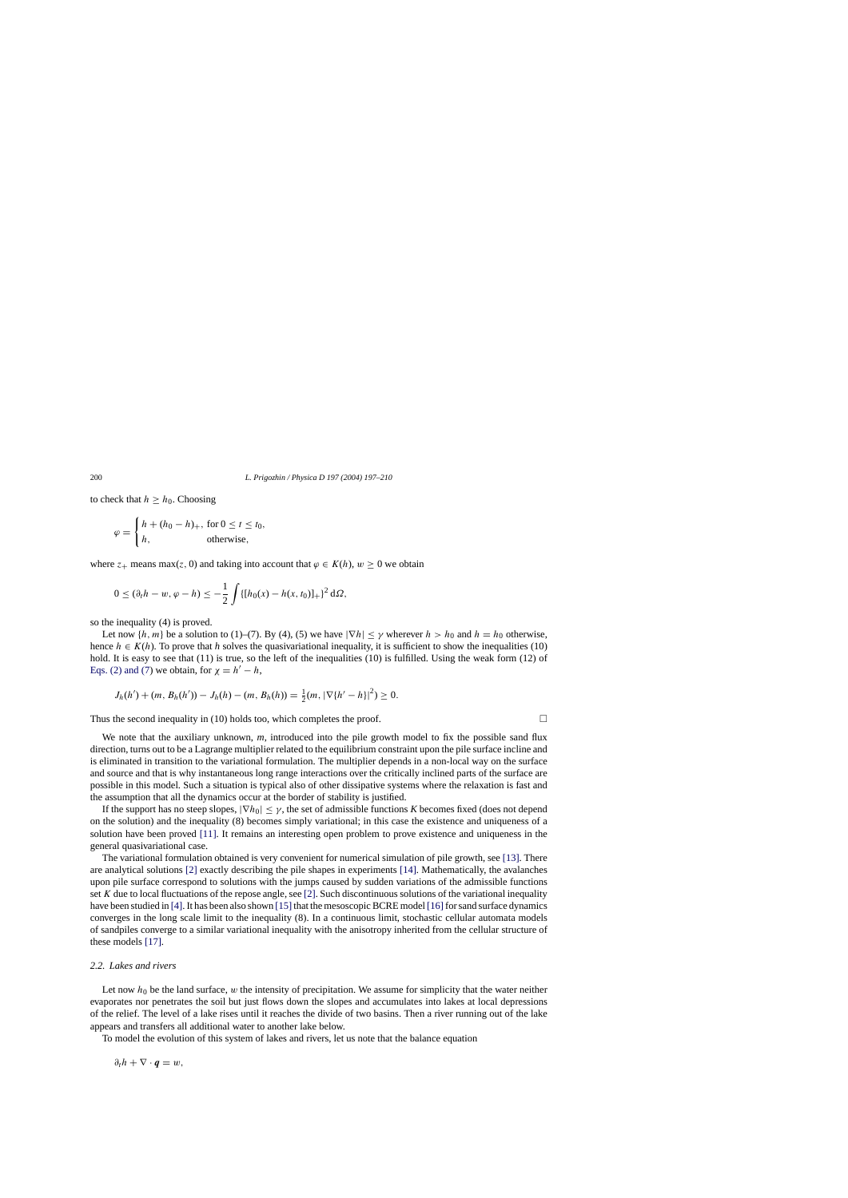to check that  $h \geq h_0$ . Choosing

$$
\varphi = \begin{cases} h + (h_0 - h)_+, \text{ for } 0 \le t \le t_0, \\ h, \text{ otherwise,} \end{cases}
$$

where  $z_+$  means max(z, 0) and taking into account that  $\varphi \in K(h)$ ,  $w \ge 0$  we obtain

$$
0 \leq (\partial_t h - w, \varphi - h) \leq -\frac{1}{2} \int \{ [h_0(x) - h(x, t_0)]_+ \}^2 d\Omega,
$$

so the inequality (4) is proved.

Let now  $\{h, m\}$  be a solution to (1)–(7). By (4), (5) we have  $|\nabla h| \le \gamma$  wherever  $h > h_0$  and  $h = h_0$  otherwise, hence  $h \in K(h)$ . To prove that h solves the quasivariational inequality, it is sufficient to show the inequalities (10) hold. It is easy to see that (11) is true, so the left of the inequalities (10) is fulfilled. Using the weak form (12) of [Eqs. \(2\) and \(7\)](#page-1-0) we obtain, for  $\chi = h' - h$ ,

$$
J_h(h') + (m, B_h(h')) - J_h(h) - (m, B_h(h)) = \frac{1}{2}(m, |\nabla\{h' - h\}|^2) \ge 0.
$$

Thus the second inequality in (10) holds too, which completes the proof.  $\Box$ 

We note that the auxiliary unknown, *m*, introduced into the pile growth model to fix the possible sand flux direction, turns out to be a Lagrange multiplier related to the equilibrium constraint upon the pile surface incline and is eliminated in transition to the variational formulation. The multiplier depends in a non-local way on the surface and source and that is why instantaneous long range interactions over the critically inclined parts of the surface are possible in this model. Such a situation is typical also of other dissipative systems where the relaxation is fast and the assumption that all the dynamics occur at the border of stability is justified.

If the support has no steep slopes,  $|\nabla h_0| < \gamma$ , the set of admissible functions *K* becomes fixed (does not depend on the solution) and the inequality (8) becomes simply variational; in this case the existence and uniqueness of a solution have been proved [\[11\].](#page-12-0) It remains an interesting open problem to prove existence and uniqueness in the general quasivariational case.

The variational formulation obtained is very convenient for numerical simulation of pile growth, see [\[13\]. T](#page-12-0)here are analytical solutions [\[2\]](#page-12-0) exactly describing the pile shapes in experiments [\[14\]. M](#page-12-0)athematically, the avalanches upon pile surface correspond to solutions with the jumps caused by sudden variations of the admissible functions set K due to local fluctuations of the repose angle, see [\[2\]. S](#page-12-0)uch discontinuous solutions of the variational inequality have been studied in [\[4\]. I](#page-12-0)t has been also shown [15] that the mesoscopic BCRE model [16] for sand surface dynamics converges in the long scale limit to the inequality (8). In a continuous limit, stochastic cellular automata models of sandpiles converge to a similar variational inequality with the anisotropy inherited from the cellular structure of these models [\[17\].](#page-12-0)

#### *2.2. Lakes and rivers*

Let now  $h_0$  be the land surface, w the intensity of precipitation. We assume for simplicity that the water neither evaporates nor penetrates the soil but just flows down the slopes and accumulates into lakes at local depressions of the relief. The level of a lake rises until it reaches the divide of two basins. Then a river running out of the lake appears and transfers all additional water to another lake below.

To model the evolution of this system of lakes and rivers, let us note that the balance equation

 $\partial_t h + \nabla \cdot \boldsymbol{q} = w$ ,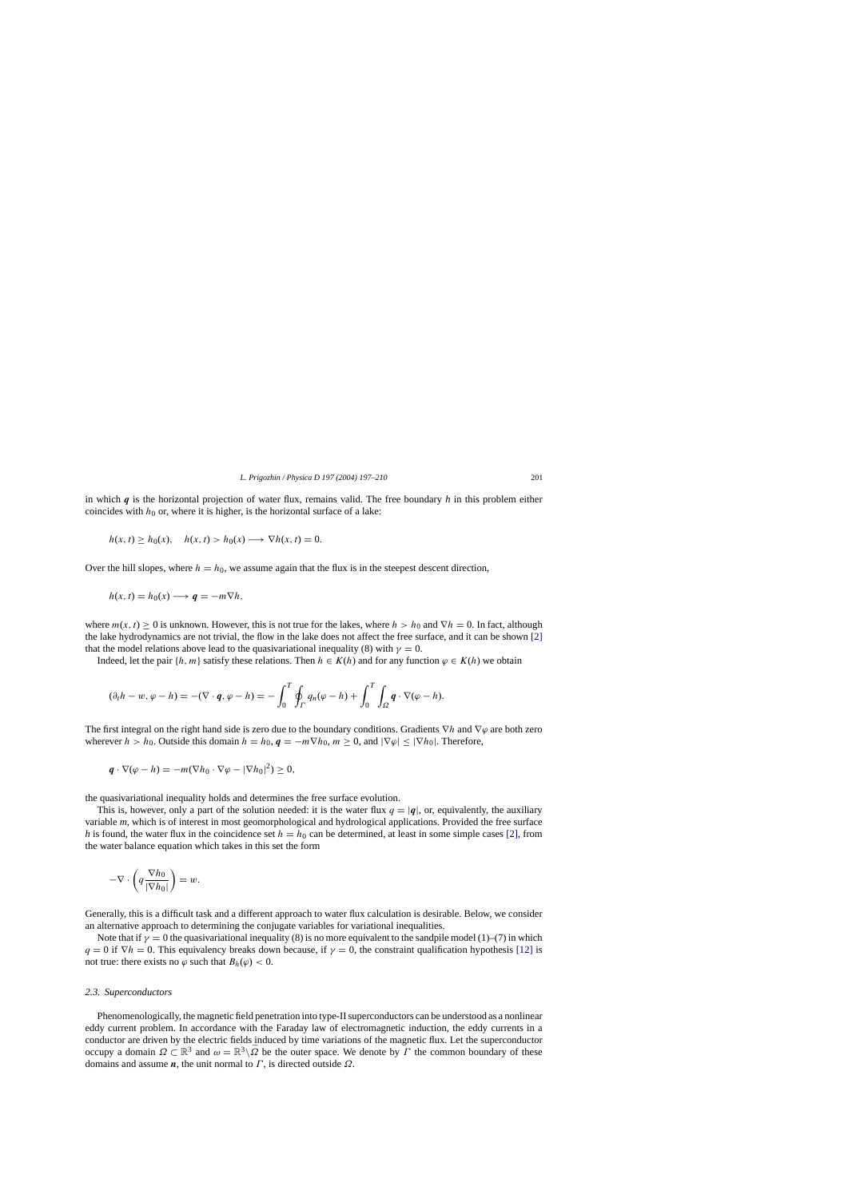in which *q* is the horizontal projection of water flux, remains valid. The free boundary *h* in this problem either coincides with  $h_0$  or, where it is higher, is the horizontal surface of a lake:

$$
h(x, t) \ge h_0(x), \quad h(x, t) > h_0(x) \longrightarrow \nabla h(x, t) = 0.
$$

Over the hill slopes, where  $h = h_0$ , we assume again that the flux is in the steepest descent direction,

$$
h(x, t) = h_0(x) \longrightarrow q = -m \nabla h,
$$

where  $m(x, t) > 0$  is unknown. However, this is not true for the lakes, where  $h > h_0$  and  $\nabla h = 0$ . In fact, although the lake hydrodynamics are not trivial, the flow in the lake does not affect the free surface, and it can be shown [\[2\]](#page-12-0) that the model relations above lead to the quasivariational inequality (8) with  $\gamma = 0$ .

Indeed, let the pair  $\{h, m\}$  satisfy these relations. Then  $h \in K(h)$  and for any function  $\varphi \in K(h)$  we obtain

$$
(\partial_t h - w, \varphi - h) = -(\nabla \cdot \boldsymbol{q}, \varphi - h) = -\int_0^T \oint_{\Gamma} q_n(\varphi - h) + \int_0^T \int_{\Omega} \boldsymbol{q} \cdot \nabla(\varphi - h).
$$

The first integral on the right hand side is zero due to the boundary conditions. Gradients  $\nabla h$  and  $\nabla \varphi$  are both zero wherever  $h > h_0$ . Outside this domain  $h = h_0$ ,  $q = -m \nabla h_0$ ,  $m \ge 0$ , and  $|\nabla \varphi| \le |\nabla h_0|$ . Therefore,

$$
\boldsymbol{q} \cdot \nabla(\varphi - h) = -m(\nabla h_0 \cdot \nabla \varphi - |\nabla h_0|^2) \geq 0,
$$

the quasivariational inequality holds and determines the free surface evolution.

This is, however, only a part of the solution needed: it is the water flux  $q = |q|$ , or, equivalently, the auxiliary variable *m*, which is of interest in most geomorphological and hydrological applications. Provided the free surface *h* is found, the water flux in the coincidence set  $h = h_0$  can be determined, at least in some simple cases [\[2\],](#page-12-0) from the water balance equation which takes in this set the form

$$
-\nabla\cdot\left(q\frac{\nabla h_0}{|\nabla h_0|}\right) = w.
$$

Generally, this is a difficult task and a different approach to water flux calculation is desirable. Below, we consider an alternative approach to determining the conjugate variables for variational inequalities.

Note that if  $\gamma = 0$  the quasivariational inequality (8) is no more equivalent to the sandpile model (1)–(7) in which  $q = 0$  if  $\nabla h = 0$ . This equivalency breaks down because, if  $\gamma = 0$ , the constraint qualification hypothesis [\[12\]](#page-12-0) is not true: there exists no  $\varphi$  such that  $B_h(\varphi) < 0$ .

#### *2.3. Superconductors*

Phenomenologically, the magnetic field penetration into type-II superconductors can be understood as a nonlinear eddy current problem. In accordance with the Faraday law of electromagnetic induction, the eddy currents in a conductor are driven by the electric fields induced by time variations of the magnetic flux. Let the superconductor occupy a domain  $Ω ⊂ ℝ<sup>3</sup>$  and  $ω = ℝ<sup>3</sup> \sqrt{Ω}$  be the outer space. We denote by  $Γ$  the common boundary of these domains and assume  $n$ , the unit normal to  $\Gamma$ , is directed outside  $\Omega$ .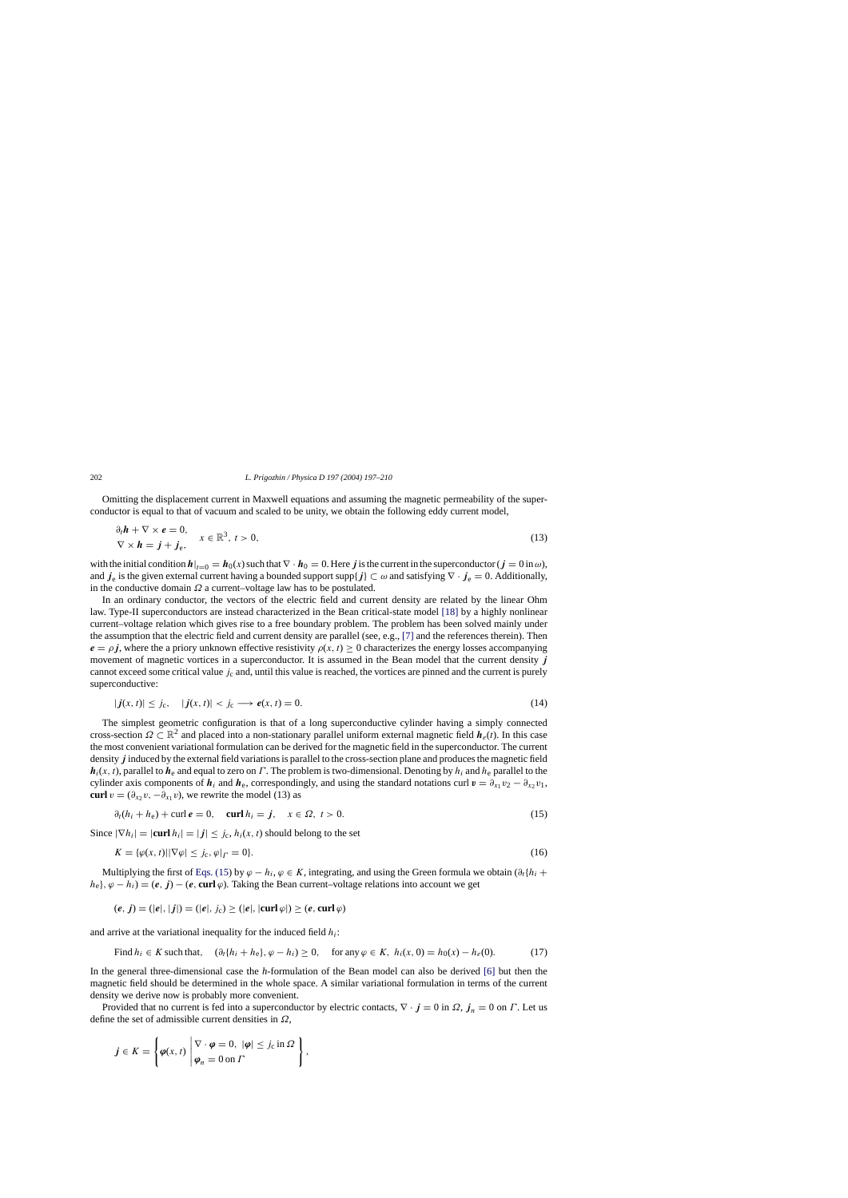Omitting the displacement current in Maxwell equations and assuming the magnetic permeability of the superconductor is equal to that of vacuum and scaled to be unity, we obtain the following eddy current model,

$$
\begin{aligned} \partial_t \mathbf{h} + \nabla \times \mathbf{e} &= 0, \\ \nabla \times \mathbf{h} &= \mathbf{j} + \mathbf{j}_e, \end{aligned} \quad x \in \mathbb{R}^3, \ t > 0,\tag{13}
$$

with the initial condition  $h|_{t=0} = h_0(x)$  such that  $\nabla \cdot h_0 = 0$ . Here *j* is the current in the superconductor ( $j = 0$  in  $\omega$ ), and *j*<sub>e</sub> is the given external current having a bounded support supp{*j*}  $\subset \omega$  and satisfying  $\nabla \cdot j_e = 0$ . Additionally, in the conductive domain  $\Omega$  a current–voltage law has to be postulated.

In an ordinary conductor, the vectors of the electric field and current density are related by the linear Ohm law. Type-II superconductors are instead characterized in the Bean critical-state model [\[18\]](#page-13-0) by a highly nonlinear current–voltage relation which gives rise to a free boundary problem. The problem has been solved mainly under the assumption that the electric field and current density are parallel (see, e.g., [\[7\]](#page-12-0) and the references therein). Then  $e = \rho j$ , where the a priory unknown effective resistivity  $\rho(x, t) \ge 0$  characterizes the energy losses accompanying movement of magnetic vortices in a superconductor. It is assumed in the Bean model that the current density *j* cannot exceed some critical value  $j_c$  and, until this value is reached, the vortices are pinned and the current is purely superconductive:

$$
|\mathbf{j}(x,t)| \leq j_c, \quad |\mathbf{j}(x,t)| < j_c \longrightarrow \mathbf{e}(x,t) = 0. \tag{14}
$$

The simplest geometric configuration is that of a long superconductive cylinder having a simply connected cross-section  $\Omega \subset \mathbb{R}^2$  and placed into a non-stationary parallel uniform external magnetic field  $h_e(t)$ . In this case the most convenient variational formulation can be derived for the magnetic field in the superconductor. The current density *j* induced by the external field variations is parallel to the cross-section plane and produces the magnetic field  $h_i(x, t)$ , parallel to  $h_e$  and equal to zero on Γ. The problem is two-dimensional. Denoting by  $h_i$  and  $h_e$  parallel to the cylinder axis components of  $h_i$  and  $h_e$ , correspondingly, and using the standard notations curl  $v = \partial_{x_1} v_2 - \partial_{x_2} v_1$ , **curl**  $v = (\partial_{x_2} v, -\partial_{x_1} v)$ , we rewrite the model (13) as

$$
\partial_t (h_i + h_e) + \text{curl } e = 0, \quad \text{curl } h_i = j, \quad x \in \Omega, \ t > 0. \tag{15}
$$

Since  $|\nabla h_i| = |\text{curl } h_i| = |j| \le j_c$ ,  $h_i(x, t)$  should belong to the set

$$
K = {\varphi(x, t) \mid |\nabla \varphi| \le j_c, \varphi|_{\Gamma} = 0}.
$$
\n<sup>(16)</sup>

Multiplying the first of Eqs. (15) by  $\varphi - h_i$ ,  $\varphi \in K$ , integrating, and using the Green formula we obtain  $(\partial_t \{h_i +$  $h_e$ ,  $\varphi - h_i$ ) = (*e*, *j*) – (*e*, **curl**  $\varphi$ ). Taking the Bean current–voltage relations into account we get

$$
(e, j) = (|e|, |j|) = (|e|, j_c) \ge (|e|, |\text{curl } \varphi|) \ge (e, \text{curl } \varphi)
$$

and arrive at the variational inequality for the induced field  $h_i$ :

Find 
$$
h_i \in K
$$
 such that,  $(\partial_t \{h_i + h_e\}, \varphi - h_i) \ge 0$ , for any  $\varphi \in K$ ,  $h_i(x, 0) = h_0(x) - h_e(0)$ . (17)

In the general three-dimensional case the *h*-formulation of the Bean model can also be derived [\[6\]](#page-12-0) but then the magnetic field should be determined in the whole space. A similar variational formulation in terms of the current density we derive now is probably more convenient.

Provided that no current is fed into a superconductor by electric contacts,  $\nabla \cdot \mathbf{j} = 0$  in  $\Omega$ ,  $\mathbf{j}_n = 0$  on  $\Gamma$ . Let us define the set of admissible current densities in  $\Omega$ ,

$$
j \in K = \left\{ \varphi(x, t) \middle| \begin{aligned} \nabla \cdot \varphi &= 0, \ |\varphi| \leq j_c \ \text{in } \Omega \\ \varphi_n &= 0 \ \text{on } \Gamma \end{aligned} \right\},
$$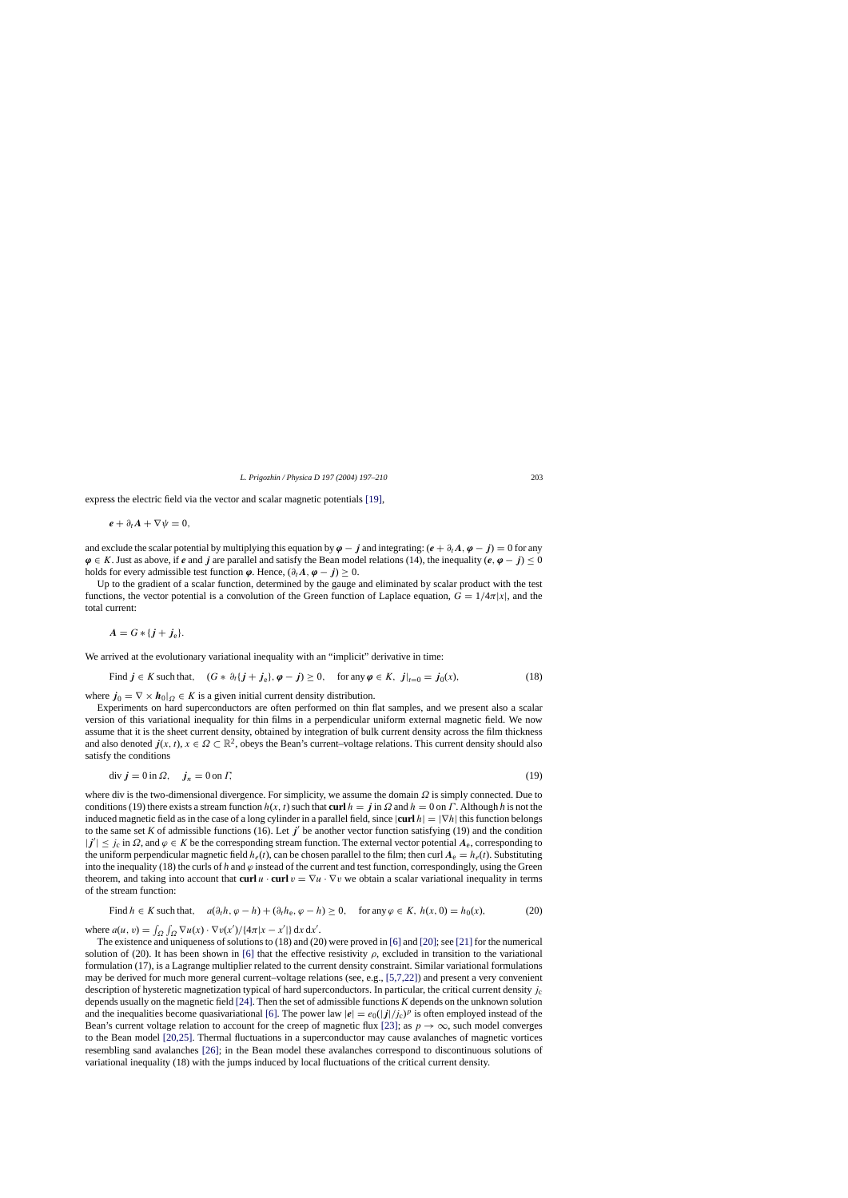express the electric field via the vector and scalar magnetic potentials [\[19\],](#page-13-0)

$$
\mathbf{e} + \partial_t \mathbf{A} + \nabla \psi = 0,
$$

and exclude the scalar potential by multiplying this equation by  $\varphi - j$  and integrating:  $(e + \partial_t A, \varphi - j) = 0$  for any  $\varphi \in K$ . Just as above, if *e* and *j* are parallel and satisfy the Bean model relations (14), the inequality  $(e, \varphi - j) < 0$ holds for every admissible test function  $\varphi$ . Hence,  $(\partial_t A, \varphi - j) \geq 0$ .

Up to the gradient of a scalar function, determined by the gauge and eliminated by scalar product with the test functions, the vector potential is a convolution of the Green function of Laplace equation,  $G = 1/4\pi |x|$ , and the total current:

$$
A=G*\{j+j_{e}\}.
$$

We arrived at the evolutionary variational inequality with an "implicit" derivative in time:

Find  $j \in K$  such that,  $(G * \partial_t \{j + j_e\}, \varphi - j) \ge 0$ , for any  $\varphi \in K$ ,  $j|_{t=0} = j_0(x)$ , (18)

where  $j_0 = \nabla \times h_0|_{\Omega} \in K$  is a given initial current density distribution.

Experiments on hard superconductors are often performed on thin flat samples, and we present also a scalar version of this variational inequality for thin films in a perpendicular uniform external magnetic field. We now assume that it is the sheet current density, obtained by integration of bulk current density across the film thickness and also denoted  $j(x, t)$ ,  $x \in \Omega \subset \mathbb{R}^2$ , obeys the Bean's current–voltage relations. This current density should also satisfy the conditions

$$
\operatorname{div} \mathbf{j} = 0 \operatorname{in} \Omega, \quad \mathbf{j}_n = 0 \operatorname{on} \Gamma,\tag{19}
$$

where div is the two-dimensional divergence. For simplicity, we assume the domain  $\Omega$  is simply connected. Due to conditions (19) there exists a stream function  $h(x, t)$  such that **curl**  $h = j$  in  $\Omega$  and  $h = 0$  on  $\Gamma$ . Although h is not the induced magnetic field as in the case of a long cylinder in a parallel field, since  $|\text{curl } h| = |\nabla h|$  this function belongs to the same set K of admissible functions (16). Let  $j'$  be another vector function satisfying (19) and the condition  $|j'| \leq j_c$  in  $\Omega$ , and  $\varphi \in K$  be the corresponding stream function. The external vector potential  $A_e$ , corresponding to the uniform perpendicular magnetic field  $h_e(t)$ , can be chosen parallel to the film; then curl  $A_e = h_e(t)$ . Substituting into the inequality (18) the curls of  $h$  and  $\varphi$  instead of the current and test function, correspondingly, using the Green theorem, and taking into account that **curl**  $u \cdot \textbf{curl} v = \nabla u \cdot \nabla v$  we obtain a scalar variational inequality in terms of the stream function:

Find 
$$
h \in K
$$
 such that,  $a(\partial_t h, \varphi - h) + (\partial_t h_e, \varphi - h) \ge 0$ , for any  $\varphi \in K$ ,  $h(x, 0) = h_0(x)$ , (20)

where  $a(u, v) = \int_{\Omega} \int_{\Omega} \nabla u(x) \cdot \nabla v(x') / \{4\pi |x - x'|\} dx dx'.$ 

The existence and uniqueness of solutions to (18) and (20) were proved in [\[6\]](#page-12-0) and [\[20\];](#page-13-0) see [\[21\]](#page-13-0) for the numerical solution of (20). It has been shown in [\[6\]](#page-12-0) that the effective resistivity  $\rho$ , excluded in transition to the variational formulation (17), is a Lagrange multiplier related to the current density constraint. Similar variational formulations may be derived for much more general current–voltage relations (see, e.g., [\[5,7,22\]\)](#page-12-0) and present a very convenient description of hysteretic magnetization typical of hard superconductors. In particular, the critical current density  $j_c$ depends usually on the magnetic field [\[24\]. T](#page-13-0)hen the set of admissible functions *K* depends on the unknown solution and the inequalities become quasivariational [\[6\].](#page-12-0) The power law  $|e| = e_0(|f|/j_c)^p$  is often employed instead of the Bean's current voltage relation to account for the creep of magnetic flux [\[23\];](#page-13-0) as  $p \to \infty$ , such model converges to the Bean model [\[20,25\].](#page-13-0) Thermal fluctuations in a superconductor may cause avalanches of magnetic vortices resembling sand avalanches [\[26\];](#page-13-0) in the Bean model these avalanches correspond to discontinuous solutions of variational inequality (18) with the jumps induced by local fluctuations of the critical current density.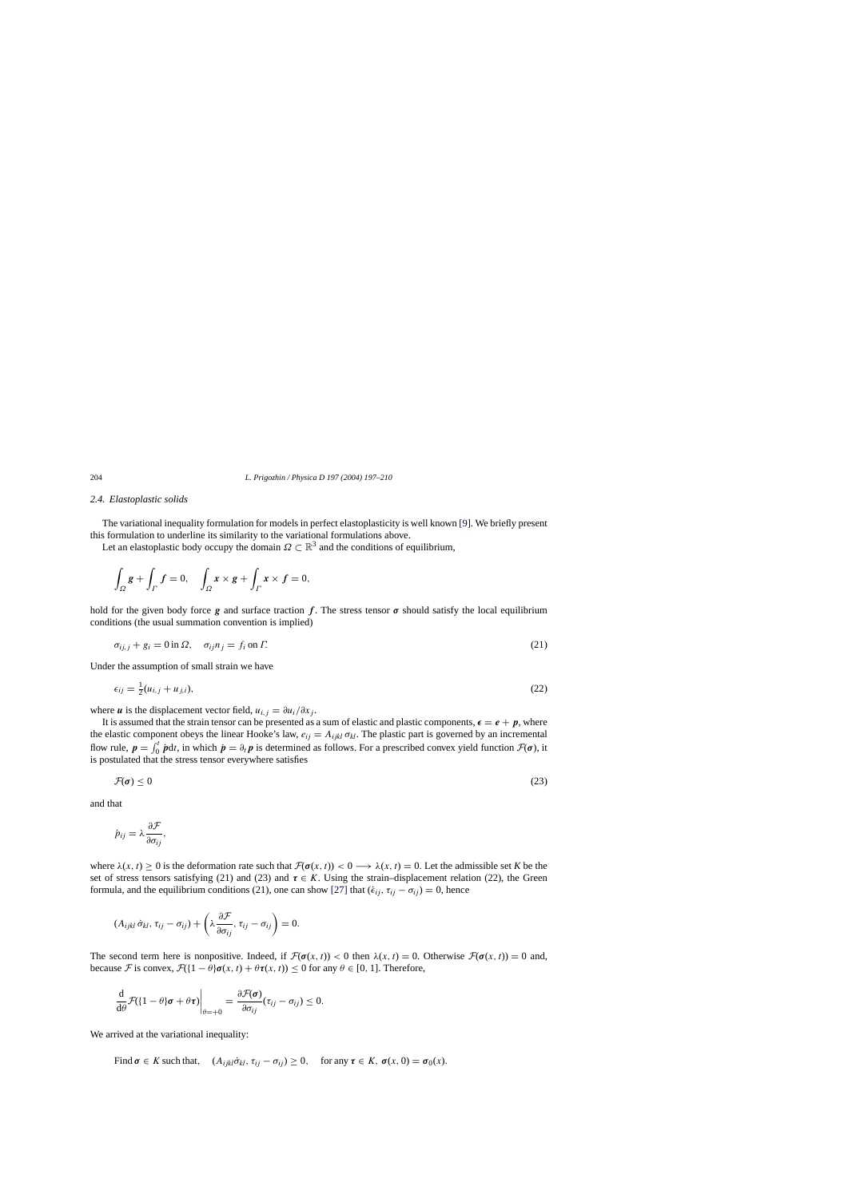## *2.4. Elastoplastic solids*

The variational inequality formulation for models in perfect elastoplasticity is well known [\[9\]. W](#page-12-0)e briefly present this formulation to underline its similarity to the variational formulations above.

Let an elastoplastic body occupy the domain  $\Omega \subset \mathbb{R}^3$  and the conditions of equilibrium,

$$
\int_{\Omega} \mathbf{g} + \int_{\Gamma} \mathbf{f} = 0, \quad \int_{\Omega} \mathbf{x} \times \mathbf{g} + \int_{\Gamma} \mathbf{x} \times \mathbf{f} = 0,
$$

hold for the given body force  $g$  and surface traction  $f$ . The stress tensor  $\sigma$  should satisfy the local equilibrium conditions (the usual summation convention is implied)

$$
\sigma_{ij,j} + g_i = 0 \text{ in } \Omega, \quad \sigma_{ij} n_j = f_i \text{ on } \Gamma. \tag{21}
$$

Under the assumption of small strain we have

$$
\epsilon_{ij} = \frac{1}{2}(u_{i,j} + u_{j,i}),\tag{22}
$$

where *u* is the displacement vector field,  $u_{i,j} = \frac{\partial u_i}{\partial x_j}$ .

It is assumed that the strain tensor can be presented as a sum of elastic and plastic components,  $\epsilon = e + p$ , where the elastic component obeys the linear Hooke's law,  $e_{ij} = A_{ijkl} \sigma_{kl}$ . The plastic part is governed by an incremental flow rule,  $p = \int_0^t pdt$ , in which  $p = \partial_t p$  is determined as follows. For a prescribed convex yield function  $\mathcal{F}(\sigma)$ , it is postulated that the stress tensor everywhere satisfies

$$
\mathcal{F}(\sigma) \le 0 \tag{23}
$$

and that

$$
\dot{p}_{ij} = \lambda \frac{\partial \mathcal{F}}{\partial \sigma_{ij}},
$$

where  $\lambda(x, t) > 0$  is the deformation rate such that  $\mathcal{F}(\sigma(x, t)) < 0 \longrightarrow \lambda(x, t) = 0$ . Let the admissible set *K* be the set of stress tensors satisfying (21) and (23) and  $\tau \in K$ . Using the strain–displacement relation (22), the Green formula, and the equilibrium conditions (21), one can show [\[27\]](#page-13-0) that  $(\epsilon_{ij}, \tau_{ij} - \sigma_{ij}) = 0$ , hence

$$
(A_{ijkl}\,\dot{\sigma}_{kl},\tau_{ij}-\sigma_{ij})+\left(\lambda\frac{\partial\mathcal{F}}{\partial\sigma_{ij}},\tau_{ij}-\sigma_{ij}\right)=0.
$$

The second term here is nonpositive. Indeed, if  $\mathcal{F}(\sigma(x, t)) < 0$  then  $\lambda(x, t) = 0$ . Otherwise  $\mathcal{F}(\sigma(x, t)) = 0$  and, because F is convex,  $\mathcal{F}(\{1 - \theta\} \sigma(x, t) + \theta \tau(x, t)) \leq 0$  for any  $\theta \in [0, 1]$ . Therefore,

$$
\frac{\mathrm{d}}{\mathrm{d}\theta}\mathcal{F}(\left\{1-\theta\right\}\boldsymbol{\sigma}+\theta\boldsymbol{\tau}\right)\bigg|_{\theta=\pm 0}=\frac{\partial\mathcal{F}(\boldsymbol{\sigma})}{\partial\sigma_{ij}}(\tau_{ij}-\sigma_{ij})\leq 0.
$$

We arrived at the variational inequality:

Find  $\sigma \in K$  such that,  $(A_{ijkl}\dot{\sigma}_{kl}, \tau_{ij} - \sigma_{ij}) \geq 0$ , for any  $\tau \in K$ ,  $\sigma(x, 0) = \sigma_0(x)$ .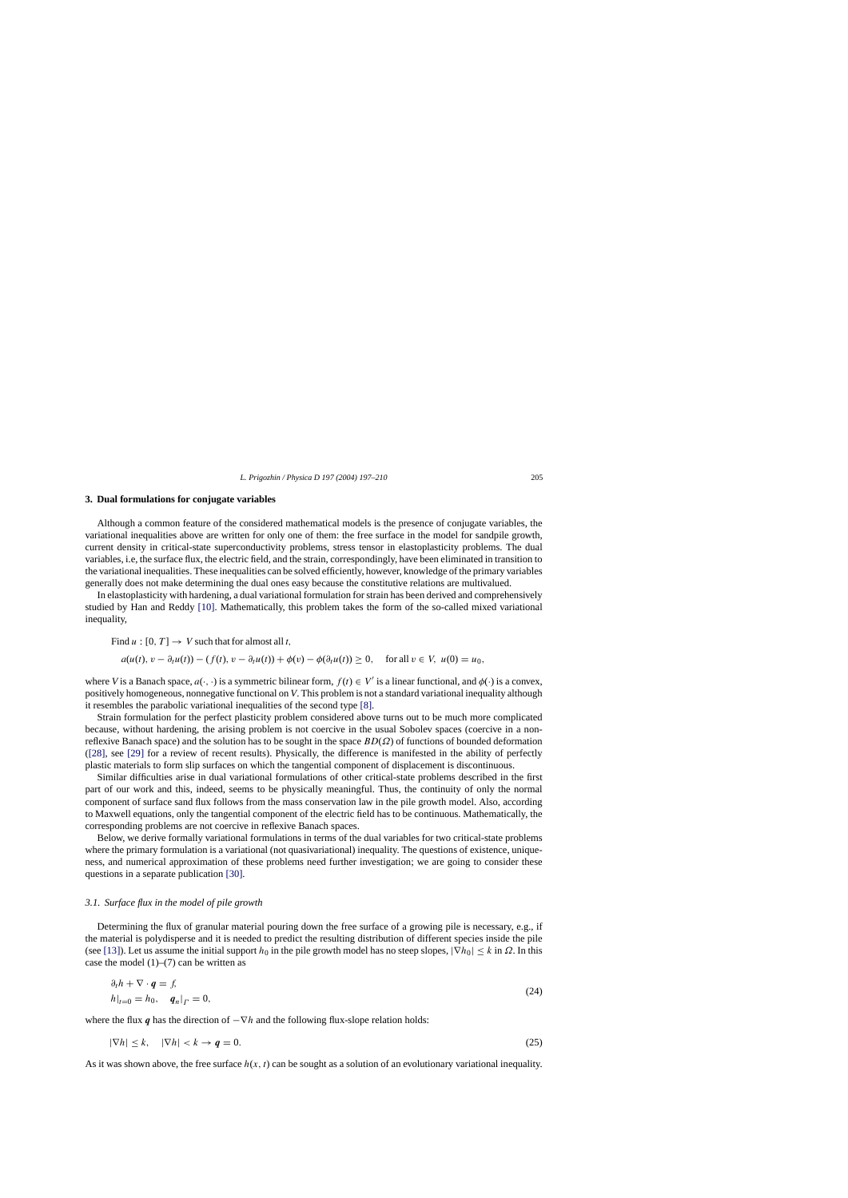## **3. Dual formulations for conjugate variables**

Although a common feature of the considered mathematical models is the presence of conjugate variables, the variational inequalities above are written for only one of them: the free surface in the model for sandpile growth, current density in critical-state superconductivity problems, stress tensor in elastoplasticity problems. The dual variables, i.e, the surface flux, the electric field, and the strain, correspondingly, have been eliminated in transition to the variational inequalities. These inequalities can be solved efficiently, however, knowledge of the primary variables generally does not make determining the dual ones easy because the constitutive relations are multivalued.

In elastoplasticity with hardening, a dual variational formulation for strain has been derived and comprehensively studied by Han and Reddy [\[10\].](#page-12-0) Mathematically, this problem takes the form of the so-called mixed variational inequality,

Find  $u : [0, T] \rightarrow V$  such that for almost all t,

$$
a(u(t), v - \partial_t u(t)) - (f(t), v - \partial_t u(t)) + \phi(v) - \phi(\partial_t u(t)) \ge 0, \quad \text{for all } v \in V, \ u(0) = u_0,
$$

where *V* is a Banach space,  $a(\cdot, \cdot)$  is a symmetric bilinear form,  $f(t) \in V'$  is a linear functional, and  $\phi(\cdot)$  is a convex, positively homogeneous, nonnegative functional on *V*. This problem is not a standard variational inequality although it resembles the parabolic variational inequalities of the second type [\[8\].](#page-12-0)

Strain formulation for the perfect plasticity problem considered above turns out to be much more complicated because, without hardening, the arising problem is not coercive in the usual Sobolev spaces (coercive in a nonreflexive Banach space) and the solution has to be sought in the space  $BD(\Omega)$  of functions of bounded deformation ([\[28\],](#page-13-0) see [\[29\]](#page-13-0) for a review of recent results). Physically, the difference is manifested in the ability of perfectly plastic materials to form slip surfaces on which the tangential component of displacement is discontinuous.

Similar difficulties arise in dual variational formulations of other critical-state problems described in the first part of our work and this, indeed, seems to be physically meaningful. Thus, the continuity of only the normal component of surface sand flux follows from the mass conservation law in the pile growth model. Also, according to Maxwell equations, only the tangential component of the electric field has to be continuous. Mathematically, the corresponding problems are not coercive in reflexive Banach spaces.

Below, we derive formally variational formulations in terms of the dual variables for two critical-state problems where the primary formulation is a variational (not quasivariational) inequality. The questions of existence, uniqueness, and numerical approximation of these problems need further investigation; we are going to consider these questions in a separate publication [\[30\].](#page-13-0)

#### *3.1. Surface flux in the model of pile growth*

Determining the flux of granular material pouring down the free surface of a growing pile is necessary, e.g., if the material is polydisperse and it is needed to predict the resulting distribution of different species inside the pile (see [\[13\]\).](#page-12-0) Let us assume the initial support  $h_0$  in the pile growth model has no steep slopes,  $|\nabla h_0| < k$  in  $\Omega$ . In this case the model  $(1)$ – $(7)$  can be written as

$$
\partial_t h + \nabla \cdot \boldsymbol{q} = f,
$$
  
\n
$$
h|_{t=0} = h_0, \quad \boldsymbol{q}_n|_{\Gamma} = 0,
$$
\n(24)

where the flux *q* has the direction of  $-\nabla h$  and the following flux-slope relation holds:

$$
|\nabla h| \le k, \quad |\nabla h| < k \to q = 0. \tag{25}
$$

As it was shown above, the free surface  $h(x, t)$  can be sought as a solution of an evolutionary variational inequality.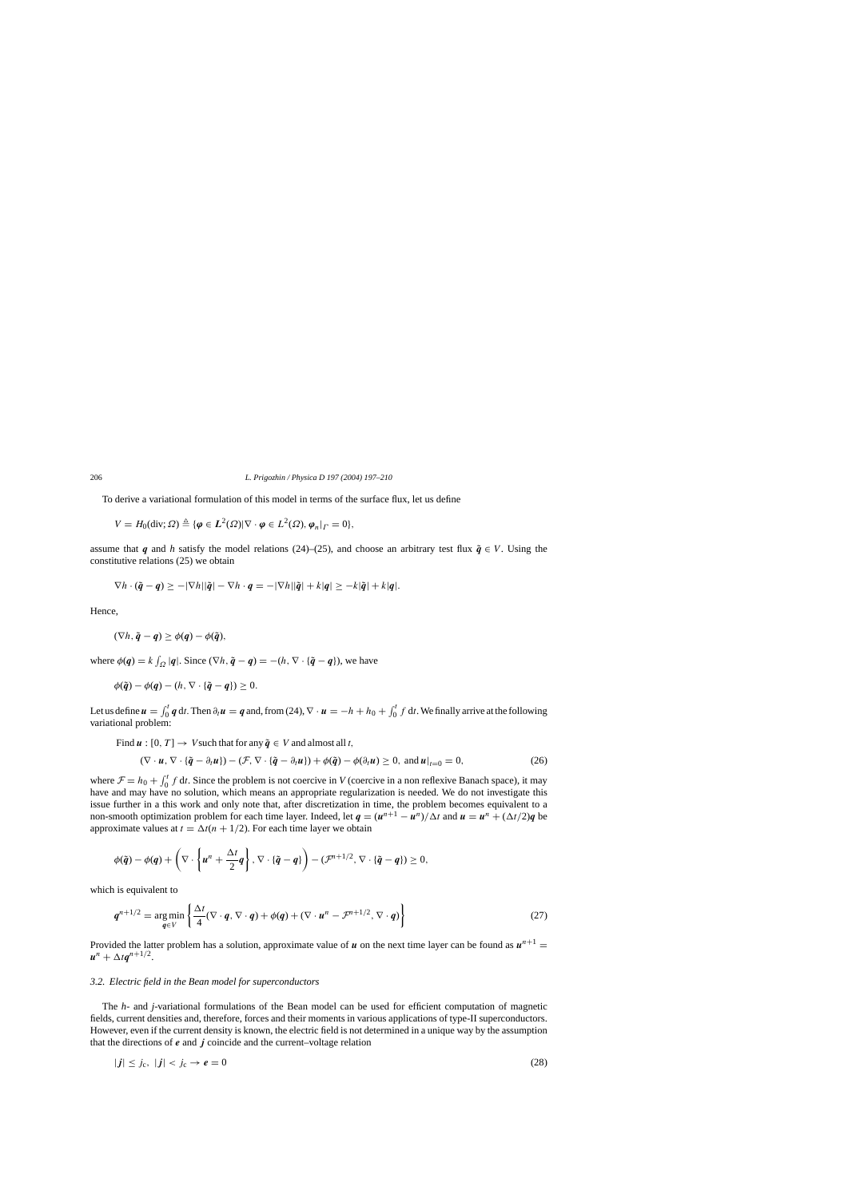To derive a variational formulation of this model in terms of the surface flux, let us define

$$
V = H_0(\text{div}; \Omega) \triangleq \{ \boldsymbol{\varphi} \in L^2(\Omega) | \nabla \cdot \boldsymbol{\varphi} \in L^2(\Omega), \boldsymbol{\varphi}_n |_{\Gamma} = 0 \},
$$

assume that *q* and *h* satisfy the model relations (24)–(25), and choose an arbitrary test flux  $\tilde{q} \in V$ . Using the constitutive relations (25) we obtain

$$
\nabla h \cdot (\tilde{\boldsymbol{q}} - \boldsymbol{q}) \ge -|\nabla h||\tilde{\boldsymbol{q}}| - \nabla h \cdot \boldsymbol{q} = -|\nabla h||\tilde{\boldsymbol{q}}| + k|\boldsymbol{q}| \ge -k|\tilde{\boldsymbol{q}}| + k|\boldsymbol{q}|.
$$

Hence,

$$
(\nabla h, \tilde{\boldsymbol{q}} - \boldsymbol{q}) \ge \phi(\boldsymbol{q}) - \phi(\tilde{\boldsymbol{q}}),
$$

where  $\phi(q) = k \int_{\Omega} |q|$ . Since  $(\nabla h, \tilde{q} - q) = -(h, \nabla \cdot {\tilde{q}} - q)$ , we have

$$
\phi(\tilde{\boldsymbol{q}}) - \phi(\boldsymbol{q}) - (h, \nabla \cdot \{\tilde{\boldsymbol{q}} - \boldsymbol{q}\}) \geq 0.
$$

Let us define  $u = \int_0^t q dt$ . Then  $\partial_t u = q$  and, from (24),  $\nabla \cdot u = -h + h_0 + \int_0^t f dt$ . We finally arrive at the following variational problem:

Find  $u : [0, T] \rightarrow V$  such that for any  $\tilde{q} \in V$  and almost all t,

$$
(\nabla \cdot \boldsymbol{u}, \nabla \cdot {\tilde{\boldsymbol{q}}} - \partial_t \boldsymbol{u}) - (\mathcal{F}, \nabla \cdot {\tilde{\boldsymbol{q}}} - \partial_t \boldsymbol{u}) + \phi(\tilde{\boldsymbol{q}}) - \phi(\partial_t \boldsymbol{u}) \ge 0, \text{ and } \boldsymbol{u}|_{t=0} = 0,
$$
\n(26)

where  $\mathcal{F} = h_0 + \int_0^t f \, dt$ . Since the problem is not coercive in *V* (coercive in a non reflexive Banach space), it may have and may have no solution, which means an appropriate regularization is needed. We do not investigate this issue further in a this work and only note that, after discretization in time, the problem becomes equivalent to a non-smooth optimization problem for each time layer. Indeed, let  $q = (u^{n+1} - u^n)/\Delta t$  and  $u = u^n + (\Delta t/2)q$  be approximate values at  $t = \Delta t(n + 1/2)$ . For each time layer we obtain

$$
\phi(\tilde{\boldsymbol{q}})-\phi(\boldsymbol{q})+\left(\nabla\cdot\left\{\boldsymbol{u}^n+\frac{\Delta t}{2}\boldsymbol{q}\right\},\nabla\cdot\left\{\tilde{\boldsymbol{q}}-\boldsymbol{q}\right\}\right)-\left(\mathcal{F}^{n+1/2},\nabla\cdot\left\{\tilde{\boldsymbol{q}}-\boldsymbol{q}\right\}\right)\geq 0,
$$

which is equivalent to

$$
\boldsymbol{q}^{n+1/2} = \underset{\boldsymbol{q} \in V}{\arg\min} \left\{ \frac{\Delta t}{4} (\nabla \cdot \boldsymbol{q}, \nabla \cdot \boldsymbol{q}) + \phi(\boldsymbol{q}) + (\nabla \cdot \boldsymbol{u}^n - \mathcal{F}^{n+1/2}, \nabla \cdot \boldsymbol{q}) \right\}
$$
(27)

Provided the latter problem has a solution, approximate value of  $u$  on the next time layer can be found as  $u^{n+1} =$  $u^{n} + \Delta t q^{n+1/2}$ .

## *3.2. Electric field in the Bean model for superconductors*

The *h*- and *j*-variational formulations of the Bean model can be used for efficient computation of magnetic fields, current densities and, therefore, forces and their moments in various applications of type-II superconductors. However, even if the current density is known, the electric field is not determined in a unique way by the assumption that the directions of *e* and *j* coincide and the current–voltage relation

$$
|\mathbf{j}| \leq j_c, \ |\mathbf{j}| < j_c \rightarrow \mathbf{e} = 0 \tag{28}
$$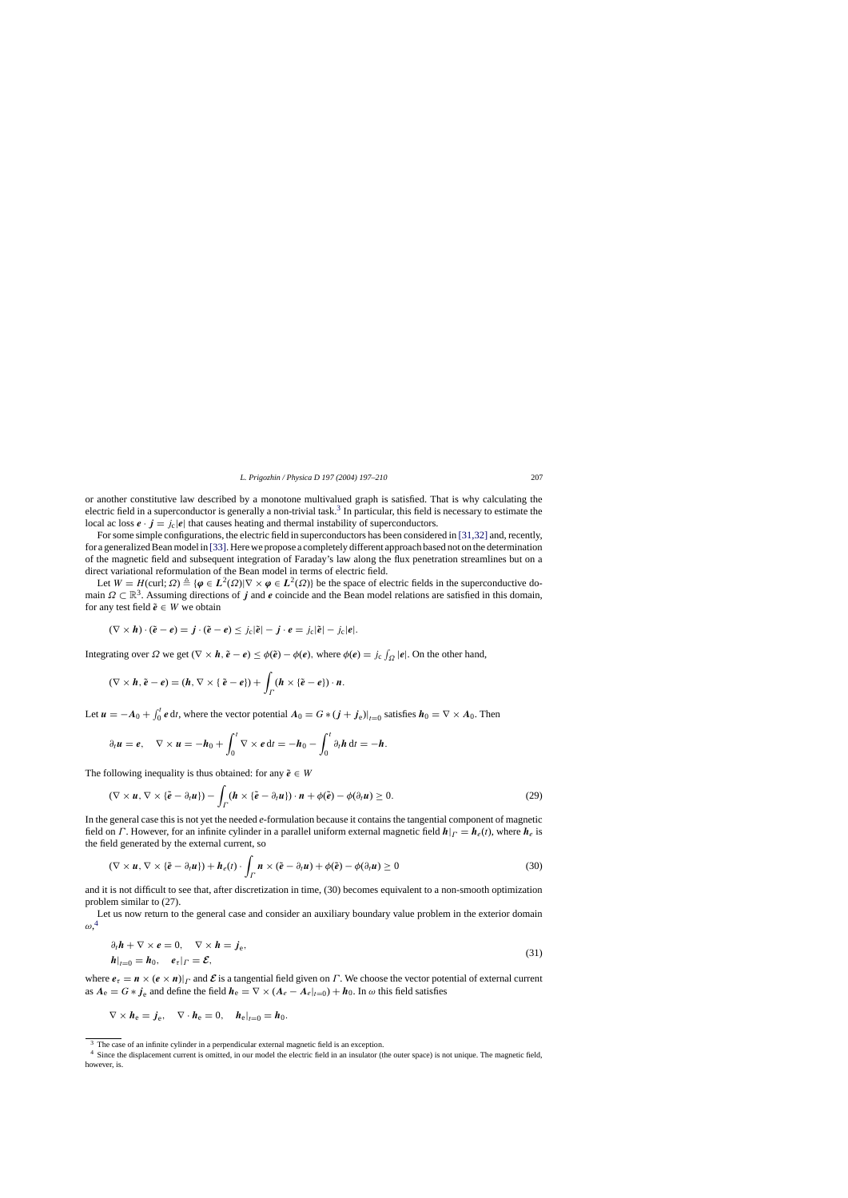or another constitutive law described by a monotone multivalued graph is satisfied. That is why calculating the electric field in a superconductor is generally a non-trivial task.<sup>3</sup> In particular, this field is necessary to estimate the local ac loss  $e \cdot j = j_c |e|$  that causes heating and thermal instability of superconductors.

For some simple configurations, the electric field in superconductors has been considered in [\[31,32\]](#page-13-0) [a](#page-13-0)nd, recently, for a generalized Bean model in [\[33\]. H](#page-13-0)ere we propose a completely different approach based not on the determination of the magnetic field and subsequent integration of Faraday's law along the flux penetration streamlines but on a direct variational reformulation of the Bean model in terms of electric field.

Let  $W = H(\text{curl}; \Omega) \triangleq {\varphi \in L^2(\Omega)} \nabla \times \varphi \in L^2(\Omega)}$  be the space of electric fields in the superconductive domain  $\Omega \subset \mathbb{R}^3$ . Assuming directions of *j* and *e* coincide and the Bean model relations are satisfied in this domain, for any test field  $\tilde{e} \in W$  we obtain

$$
(\nabla \times \mathbf{h}) \cdot (\tilde{\mathbf{e}} - \mathbf{e}) = \mathbf{j} \cdot (\tilde{\mathbf{e}} - \mathbf{e}) \leq j_c |\tilde{\mathbf{e}}| - \mathbf{j} \cdot \mathbf{e} = j_c |\tilde{\mathbf{e}}| - j_c |\mathbf{e}|.
$$

Integrating over  $\Omega$  we get  $(\nabla \times \mathbf{h}, \tilde{\mathbf{e}} - \mathbf{e}) \leq \phi(\tilde{\mathbf{e}}) - \phi(\mathbf{e})$ , where  $\phi(\mathbf{e}) = j_c \int_{\Omega} |\mathbf{e}|$ . On the other hand,

$$
(\nabla \times \boldsymbol{h}, \tilde{\boldsymbol{e}} - \boldsymbol{e}) = (\boldsymbol{h}, \nabla \times {\boldsymbol{\epsilon} \cdot \boldsymbol{\tilde{e}} - \boldsymbol{e}}) + \int_{\Gamma} (\boldsymbol{h} \times {\boldsymbol{\tilde{e}} - \boldsymbol{e}}) \cdot \boldsymbol{n}.
$$

Let  $u = -A_0 + \int_0^t e \, dt$ , where the vector potential  $A_0 = G * (j + j_e)|_{t=0}$  satisfies  $h_0 = \nabla \times A_0$ . Then

$$
\partial_t \boldsymbol{u} = \boldsymbol{e}, \quad \nabla \times \boldsymbol{u} = -\boldsymbol{h}_0 + \int_0^t \nabla \times \boldsymbol{e} \, dt = -\boldsymbol{h}_0 - \int_0^t \partial_t \boldsymbol{h} \, dt = -\boldsymbol{h}.
$$

The following inequality is thus obtained: for any  $\tilde{e} \in W$ 

$$
(\nabla \times \boldsymbol{u}, \nabla \times {\boldsymbol{\tilde{e}}} - \partial_t \boldsymbol{u}) - \int_{\Gamma} (\boldsymbol{h} \times {\boldsymbol{\tilde{e}}} - \partial_t \boldsymbol{u}) \cdot \boldsymbol{n} + \phi({\tilde{e}}) - \phi(\partial_t \boldsymbol{u}) \geq 0.
$$
 (29)

In the general case this is not yet the needed *e*-formulation because it contains the tangential component of magnetic field on Γ. However, for an infinite cylinder in a parallel uniform external magnetic field  $h|_{\Gamma} = h_e(t)$ , where  $h_e$  is the field generated by the external current, so

$$
(\nabla \times \mathbf{u}, \nabla \times \{\tilde{\mathbf{e}} - \partial_t \mathbf{u}\}) + \mathbf{h}_e(t) \cdot \int_{\Gamma} \mathbf{n} \times (\tilde{\mathbf{e}} - \partial_t \mathbf{u}) + \phi(\tilde{\mathbf{e}}) - \phi(\partial_t \mathbf{u}) \ge 0
$$
\n(30)

and it is not difficult to see that, after discretization in time, (30) becomes equivalent to a non-smooth optimization problem similar to (27).

Let us now return to the general case and consider an auxiliary boundary value problem in the exterior domain  $\omega,^4$ 

$$
\partial_t \mathbf{h} + \nabla \times \mathbf{e} = 0, \quad \nabla \times \mathbf{h} = \mathbf{j}_e,
$$
  
\n
$$
\mathbf{h}|_{t=0} = \mathbf{h}_0, \quad \mathbf{e}_\tau|_{\Gamma} = \mathbf{E},
$$
\n(31)

where  $e_{\tau} = n \times (e \times n)|_{\Gamma}$  and  $\mathcal E$  is a tangential field given on  $\Gamma$ . We choose the vector potential of external current as  $A_e = G * j_e$  and define the field  $h_e = \nabla \times (A_e - A_e|_{t=0}) + h_0$ . In  $\omega$  this field satisfies

$$
\nabla \times \boldsymbol{h}_{e} = \boldsymbol{j}_{e}, \quad \nabla \cdot \boldsymbol{h}_{e} = 0, \quad \boldsymbol{h}_{e}|_{t=0} = \boldsymbol{h}_{0}.
$$

<sup>&</sup>lt;sup>3</sup> The case of an infinite cylinder in a perpendicular external magnetic field is an exception.

<sup>4</sup> Since the displacement current is omitted, in our model the electric field in an insulator (the outer space) is not unique. The magnetic field, however, is.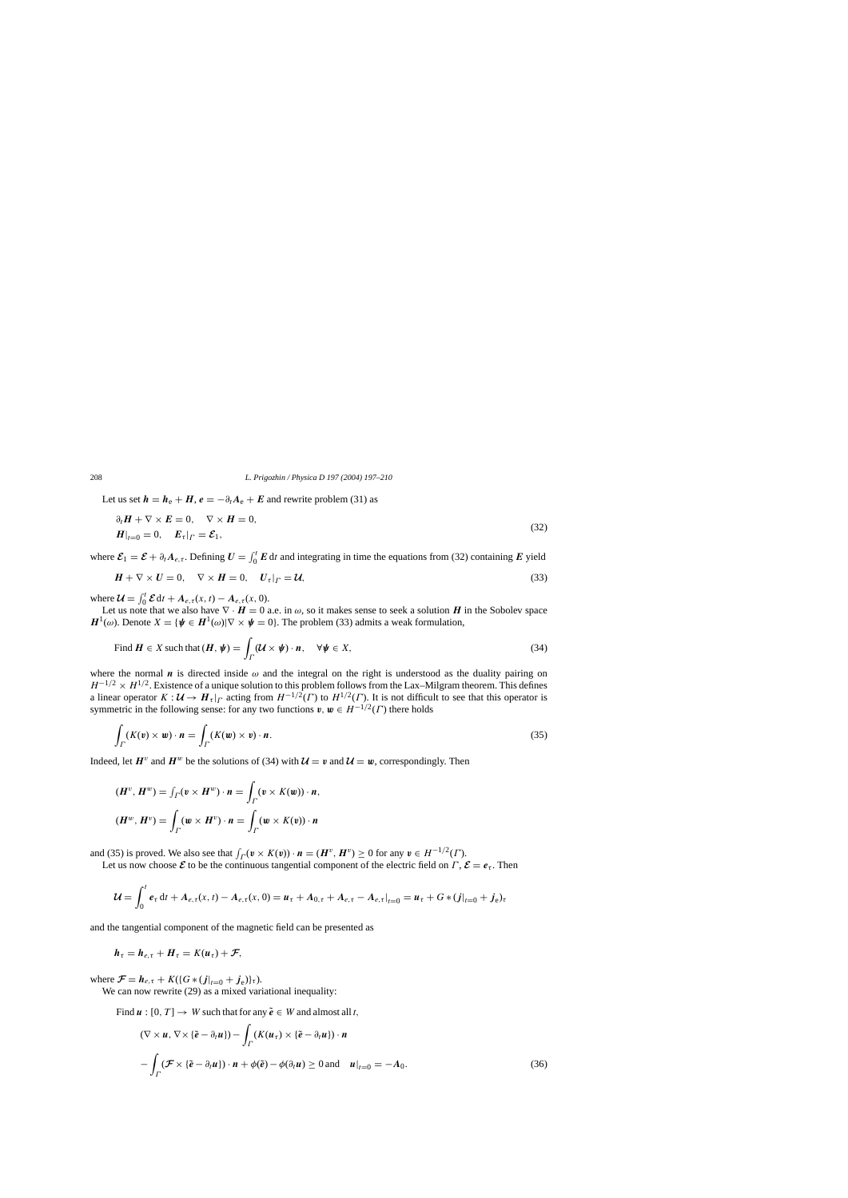Let us set  $h = h_e + H$ ,  $e = -\partial_t A_e + E$  and rewrite problem (31) as

$$
\partial_t \mathbf{H} + \nabla \times \mathbf{E} = 0, \quad \nabla \times \mathbf{H} = 0,
$$
  

$$
\mathbf{H}|_{t=0} = 0, \quad \mathbf{E}_\tau|_{\Gamma} = \mathbf{\mathcal{E}}_1,
$$
 (32)

where  $\mathcal{E}_1 = \mathcal{E} + \partial_t A_{e,\tau}$ . Defining  $U = \int_0^t E dt$  and integrating in time the equations from (32) containing *E* yield

$$
\mathbf{H} + \nabla \times \mathbf{U} = 0, \quad \nabla \times \mathbf{H} = 0, \quad \mathbf{U}_{\tau}|_{\Gamma} = \mathbf{U}, \tag{33}
$$

where  $\mathcal{U} = \int_0^t \mathcal{E} dt + A_{e,\tau}(x, t) - A_{e,\tau}(x, 0).$ 

Let us note that we also have  $\nabla \cdot \bm{H} = 0$  a.e. in  $\omega$ , so it makes sense to seek a solution  $\bm{H}$  in the Sobolev space  $H^1(\omega)$ . Denote  $X = {\psi \in H^1(\omega) | \nabla \times \psi = 0}$ . The problem (33) admits a weak formulation,

Find 
$$
\mathbf{H} \in X
$$
 such that  $(\mathbf{H}, \boldsymbol{\psi}) = \int_{\Gamma} (\mathcal{U} \times \boldsymbol{\psi}) \cdot \mathbf{n}, \quad \forall \boldsymbol{\psi} \in X,$  (34)

where the normal *n* is directed inside  $\omega$  and the integral on the right is understood as the duality pairing on  $H^{-1/2} \times H^{1/2}$ . Existence of a unique solution to this problem follows from the Lax–Milgram theorem. This defines a linear operator  $K : \mathcal{U} \to H_\tau|_{\Gamma}$  acting from  $H^{-1/2}(\Gamma)$  to  $H^{1/2}(\Gamma)$ . It is not difficult to see that this operator is symmetric in the following sense: for any two functions  $v, w \in H^{-1/2}(\Gamma)$  there holds

$$
\int_{\Gamma} (K(\mathbf{v}) \times \mathbf{w}) \cdot \mathbf{n} = \int_{\Gamma} (K(\mathbf{w}) \times \mathbf{v}) \cdot \mathbf{n}.
$$
\n(35)

Indeed, let  $H^v$  and  $H^w$  be the solutions of (34) with  $\mathcal{U} = v$  and  $\mathcal{U} = w$ , correspondingly. Then

$$
(\boldsymbol{H}^v, \boldsymbol{H}^w) = \int_{\Gamma} (\boldsymbol{v} \times \boldsymbol{H}^w) \cdot \boldsymbol{n} = \int_{\Gamma} (\boldsymbol{v} \times \boldsymbol{K}(\boldsymbol{w})) \cdot \boldsymbol{n},
$$

$$
(\boldsymbol{H}^w, \boldsymbol{H}^v) = \int_{\Gamma} (\boldsymbol{w} \times \boldsymbol{H}^v) \cdot \boldsymbol{n} = \int_{\Gamma} (\boldsymbol{w} \times \boldsymbol{K}(\boldsymbol{v})) \cdot \boldsymbol{n}
$$

and (35) is proved. We also see that  $\int_{\Gamma} (\mathbf{v} \times K(\mathbf{v})) \cdot \mathbf{n} = (\mathbf{H}^v, \mathbf{H}^v) \ge 0$  for any  $\mathbf{v} \in H^{-1/2}(\Gamma)$ .

Let us now choose  $\mathcal{E}$  to be the continuous tangential component of the electric field on  $\Gamma$ ,  $\mathcal{E} = e_{\tau}$ . Then

$$
\mathcal{U} = \int_0^t e_\tau dt + A_{e,\tau}(x,t) - A_{e,\tau}(x,0) = u_\tau + A_{0,\tau} + A_{e,\tau} - A_{e,\tau}|_{t=0} = u_\tau + G*(j|_{t=0} + j_e)_\tau
$$

and the tangential component of the magnetic field can be presented as

$$
h_{\tau}=h_{e,\tau}+H_{\tau}=K(u_{\tau})+\mathcal{F},
$$

where  $\mathcal{F} = h_{e,\tau} + K({G*(j|_{t=0} + j_e)}_{\tau}).$ 

We can now rewrite (29) as a mixed variational inequality:

Find  $u : [0, T] \to W$  such that for any  $\tilde{e} \in W$  and almost all t,

$$
(\nabla \times \mathbf{u}, \nabla \times \{\tilde{\mathbf{e}} - \partial_t \mathbf{u}\}) - \int_{\Gamma} (K(\mathbf{u}_{\tau}) \times \{\tilde{\mathbf{e}} - \partial_t \mathbf{u}\}) \cdot \mathbf{n}
$$

$$
- \int_{\Gamma} (\mathcal{F} \times \{\tilde{\mathbf{e}} - \partial_t \mathbf{u}\}) \cdot \mathbf{n} + \phi(\tilde{\mathbf{e}}) - \phi(\partial_t \mathbf{u}) \ge 0 \text{ and } \mathbf{u}|_{t=0} = -A_0. \tag{36}
$$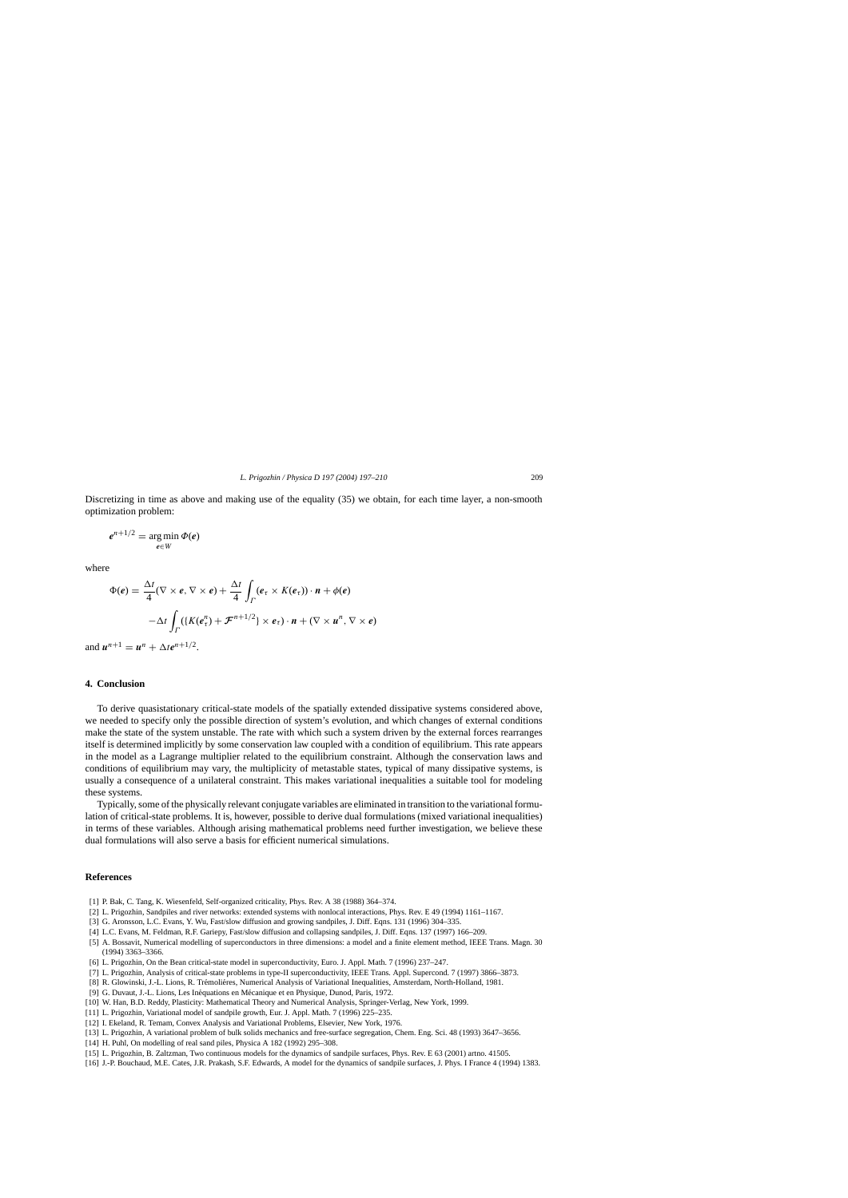<span id="page-12-0"></span>Discretizing in time as above and making use of the equality (35) we obtain, for each time layer, a non-smooth optimization problem:

$$
e^{n+1/2} = \argmin_{e \in W} \Phi(e)
$$

where

$$
\Phi(e) = \frac{\Delta t}{4} (\nabla \times e, \nabla \times e) + \frac{\Delta t}{4} \int_{\Gamma} (e_{\tau} \times K(e_{\tau})) \cdot \mathbf{n} + \phi(e)
$$

$$
-\Delta t \int_{\Gamma} (\{K(e_{\tau}^{n}) + \mathcal{F}^{n+1/2}\} \times e_{\tau}) \cdot \mathbf{n} + (\nabla \times \mathbf{u}^{n}, \nabla \times e)
$$

and  $u^{n+1} = u^n + \Delta t e^{n+1/2}$ .

## **4. Conclusion**

To derive quasistationary critical-state models of the spatially extended dissipative systems considered above, we needed to specify only the possible direction of system's evolution, and which changes of external conditions make the state of the system unstable. The rate with which such a system driven by the external forces rearranges itself is determined implicitly by some conservation law coupled with a condition of equilibrium. This rate appears in the model as a Lagrange multiplier related to the equilibrium constraint. Although the conservation laws and conditions of equilibrium may vary, the multiplicity of metastable states, typical of many dissipative systems, is usually a consequence of a unilateral constraint. This makes variational inequalities a suitable tool for modeling these systems.

Typically, some of the physically relevant conjugate variables are eliminated in transition to the variational formulation of critical-state problems. It is, however, possible to derive dual formulations (mixed variational inequalities) in terms of these variables. Although arising mathematical problems need further investigation, we believe these dual formulations will also serve a basis for efficient numerical simulations.

## **References**

- [1] P. Bak, C. Tang, K. Wiesenfeld, Self-organized criticality, Phys. Rev. A 38 (1988) 364–374.
- [2] L. Prigozhin, Sandpiles and river networks: extended systems with nonlocal interactions, Phys. Rev. E 49 (1994) 1161–1167.
- [3] G. Aronsson, L.C. Evans, Y. Wu, Fast/slow diffusion and growing sandpiles, J. Diff. Eqns. 131 (1996) 304–335.
- [4] L.C. Evans, M. Feldman, R.F. Gariepy, Fast/slow diffusion and collapsing sandpiles, J. Diff. Eqns. 137 (1997) 166–209.
- [5] A. Bossavit, Numerical modelling of superconductors in three dimensions: a model and a finite element method, IEEE Trans. Magn. 30 (1994) 3363–3366.
- [6] L. Prigozhin, On the Bean critical-state model in superconductivity, Euro. J. Appl. Math. 7 (1996) 237–247.
- [7] L. Prigozhin, Analysis of critical-state problems in type-II superconductivity, IEEE Trans. Appl. Supercond. 7 (1997) 3866–3873.
- [8] R. Glowinski, J.-L. Lions, R. Trémoliéres, Numerical Analysis of Variational Inequalities, Amsterdam, North-Holland, 1981.
- [9] G. Duvaut, J.-L. Lions, Les Inéquations en Mécanique et en Physique, Dunod, Paris, 1972.
- [10] W. Han, B.D. Reddy, Plasticity: Mathematical Theory and Numerical Analysis, Springer-Verlag, New York, 1999.
- [11] L. Prigozhin, Variational model of sandpile growth, Eur. J. Appl. Math. 7 (1996) 225–235.
- [12] I. Ekeland, R. Temam, Convex Analysis and Variational Problems, Elsevier, New York, 1976.
- [13] L. Prigozhin, A variational problem of bulk solids mechanics and free-surface segregation, Chem. Eng. Sci. 48 (1993) 3647–3656.
- [14] H. Puhl, On modelling of real sand piles, Physica A 182 (1992) 295–308.
- [15] L. Prigozhin, B. Zaltzman, Two continuous models for the dynamics of sandpile surfaces, Phys. Rev. E 63 (2001) artno. 41505.
- [16] J.-P. Bouchaud, M.E. Cates, J.R. Prakash, S.F. Edwards, A model for the dynamics of sandpile surfaces, J. Phys. I France 4 (1994) 1383.